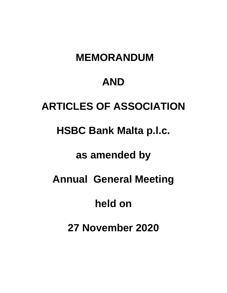# **MEMORANDUM**

## **AND**

# **ARTICLES OF ASSOCIATION**

# **HSBC Bank Malta p.l.c.**

# **as amended by**

# **Annual General Meeting**

# **held on**

# **27 November 2020**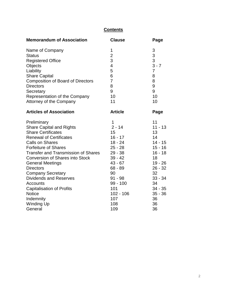## **Contents**

| <b>Memorandum of Association</b>           | <b>Clause</b>  | Page           |
|--------------------------------------------|----------------|----------------|
| Name of Company                            | 1              | 3              |
| <b>Status</b>                              | $\mathbf{2}$   | 3              |
| <b>Registered Office</b>                   | 3              | 3              |
| Objects                                    | $\overline{4}$ | $3 - 7$        |
| Liability                                  | 5              | $\overline{7}$ |
| <b>Share Capital</b>                       | 6              | 8              |
| <b>Composition of Board of Directors</b>   | $\overline{7}$ | 8              |
| <b>Directors</b>                           | 8              | 9              |
| Secretary                                  | 9              | 9              |
| Representation of the Company              | 10             | 10             |
| Attorney of the Company                    | 11             | 10             |
| <b>Articles of Association</b>             | <b>Article</b> | Page           |
| Preliminary                                | 1              | 11             |
| <b>Share Capital and Rights</b>            | $2 - 14$       | $11 - 13$      |
| <b>Share Certificates</b>                  | 15             | 13             |
| <b>Renewal of Certificates</b>             | $16 - 17$      | 14             |
| <b>Calls on Shares</b>                     | $18 - 24$      | $14 - 15$      |
| <b>Forfeiture of Shares</b>                | $25 - 28$      | $15 - 16$      |
| <b>Transfer and Transmission of Shares</b> | $29 - 38$      | $16 - 18$      |
| <b>Conversion of Shares into Stock</b>     | $39 - 42$      | 18             |
| <b>General Meetings</b>                    | $43 - 67$      | $19 - 26$      |
| <b>Directors</b>                           | 68 - 89        | $26 - 32$      |
| <b>Company Secretary</b>                   | 90             | 32             |
| <b>Dividends and Reserves</b>              | $91 - 98$      | $33 - 34$      |
| <b>Accounts</b>                            | 99 - 100       | 34             |
| <b>Capitalisation of Profits</b>           | 101            | $34 - 35$      |
| <b>Notice</b>                              | $102 - 106$    | $35 - 36$      |
| Indemnity                                  | 107            | 36             |
| <b>Winding Up</b>                          | 108            | 36             |
| General                                    | 109            | 36             |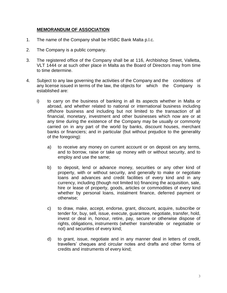### **MEMORANDUM OF ASSOCIATION**

- 1. The name of the Company shall be HSBC Bank Malta p.l.c.
- 2. The Company is a public company.
- 3. The registered office of the Company shall be at 116, Archbishop Street, Valletta, VLT 1444 or at such other place in Malta as the Board of Directors may from time to time determine.
- 4. Subject to any law governing the activities of the Company and the conditions of any license issued in terms of the law, the objects for which the Company is established are:
	- i) to carry on the business of banking in all its aspects whether in Malta or abroad, and whether related to national or international business including offshore business and including but not limited to the transaction of all financial, monetary, investment and other businesses which now are or at any time during the existence of the Company may be usually or commonly carried on in any part of the world by banks, discount houses, merchant banks or financiers; and in particular (but without prejudice to the generality of the foregoing):
		- a) to receive any money on current account or on deposit on any terms, and to borrow, raise or take up money with or without security, and to employ and use the same;
		- b) to deposit, lend or advance money, securities or any other kind of property, with or without security, and generally to make or negotiate loans and advances and credit facilities of every kind and in any currency, including (though not limited to) financing the acquisition, sale, hire or lease of property, goods, articles or commodities of every kind whether by personal loans, instalment finance, deferred payment or otherwise;
		- c) to draw, make, accept, endorse, grant, discount, acquire, subscribe or tender for, buy, sell, issue, execute, guarantee, negotiate, transfer, hold, invest or deal in, honour, retire, pay, secure or otherwise dispose of rights, obligations, instruments (whether transferable or negotiable or not) and securities of every kind;
		- d) to grant, issue, negotiate and in any manner deal in letters of credit, travellers' cheques and circular notes and drafts and other forms of credits and instruments of every kind;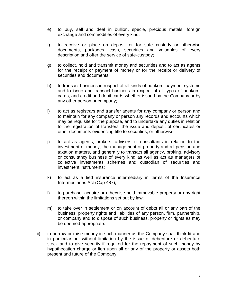- e) to buy, sell and deal in bullion, specie, precious metals, foreign exchange and commodities of every kind;
- f) to receive or place on deposit or for safe custody or otherwise documents, packages, cash, securities and valuables of every description and offer the service of safe-custody;
- g) to collect, hold and transmit money and securities and to act as agents for the receipt or payment of money or for the receipt or delivery of securities and documents;
- h) to transact business in respect of all kinds of bankers' payment systems and to issue and transact business in respect of all types of bankers' cards, and credit and debit cards whether issued by the Company or by any other person or company;
- i) to act as registrars and transfer agents for any company or person and to maintain for any company or person any records and accounts which may be requisite for the purpose, and to undertake any duties in relation to the registration of transfers, the issue and deposit of certificates or other documents evidencing title to securities, or otherwise;
- j) to act as agents, brokers, advisers or consultants in relation to the investment of money, the management of property and all pension and taxation matters, and generally to transact all agency, broking, advisory or consultancy business of every kind as well as act as managers of collective investments schemes and custodian of securities and investment instruments;
- k) to act as a tied insurance intermediary in terms of the Insurance Intermediaries Act (Cap 487);
- l) to purchase, acquire or otherwise hold immovable property or any right thereon within the limitations set out by law;
- m) to take over in settlement or on account of debts all or any part of the business, property rights and liabilities of any person, firm, partnership, or company and to dispose of such business, property or rights as may be deemed appropriate.
- ii) to borrow or raise money in such manner as the Company shall think fit and in particular but without limitation by the issue of debenture or debenture stock and to give security if required for the repayment of such money by hypothecation charge or lien upon all or any of the property or assets both present and future of the Company;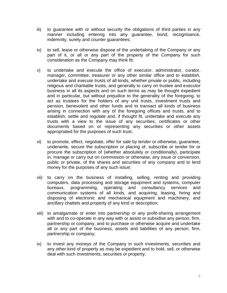- iii) to guarantee with or without security the obligations of third parties in any manner including entering into any guarantee, bond, recognisance, indemnity, surety and counter guarantees;
- iv) to sell, lease or otherwise dispose of the undertaking of the Company or any part of it, or all or any part of the property of the Company for such consideration as the Company may think fit;
- v) to undertake and execute the office of executor, administrator, curator, manager, committee, treasurer or any other similar office and to establish, undertake and execute trusts of all kinds, whether private or public, including religious and charitable trusts, and generally to carry on trustee and executor business in all its aspects and on such terms as may be thought expedient and in particular, but without prejudice to the generality of the foregoing, to act as trustees for the holders of any unit trusts, investment trusts and pension, benevolent and other funds and to transact all kinds of business arising in connection with any of the foregoing offices and trusts, and to establish, settle and regulate and, if thought fit, undertake and execute any trusts with a view to the issue of any securities, certificates or other documents based on or representing any securities or other assets appropriated for the purposes of such trust;
- vi) to promote, effect, negotiate, offer for sale by tender or otherwise, guarantee, underwrite, secure the subscription or placing of, subscribe or tender for or procure the subscription of (whether absolutely or conditionally), participate in, manage or carry out on commission or otherwise, any issue or conversion, public or private, of the shares and securities of any company and to lend money for the purposes of any such issue;
- vii) to carry on the business of installing, selling, renting and providing computers, data processing and storage equipment and systems, computer bureaux, programming, operating and consultancy services and communication systems of all kinds, and acquiring, leasing, hiring and disposing of electronic and mechanical equipment and machinery, and ancillary chattels and property of any kind or description;
- viii) to amalgamate or enter into partnership or any profit-sharing arrangement with and to co-operate in any way with or assist or subsidise any person, firm, partnership or company, and to purchase or otherwise acquire and undertake all or any part of the business, assets and liabilities of any person, firm, partnership or company;
- ix) to invest any moneys of the Company in such investments, securities and any other kind of property as may be expedient and to hold, sell, or otherwise deal with such investments, securities or property;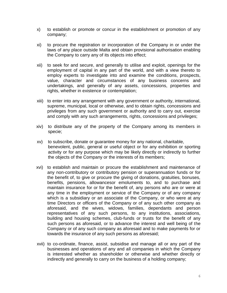- x) to establish or promote or concur in the establishment or promotion of any company;
- xi) to procure the registration or incorporation of the Company in or under the laws of any place outside Malta and obtain provisional authorisation enabling the Company to carry any of its objects into effect;
- xii) to seek for and secure, and generally to utilise and exploit, openings for the employment of capital in any part of the world, and with a view thereto to employ experts to investigate into and examine the conditions, prospects, value, character and circumstances of any business concerns and undertakings, and generally of any assets, concessions, properties and rights, whether in existence or contemplation;
- xiii) to enter into any arrangement with any government or authority, international, supreme, municipal, local or otherwise, and to obtain rights, concessions and privileges from any such government or authority and to carry out, exercise and comply with any such arrangements, rights, concessions and privileges;
- xiv) to distribute any of the property of the Company among its members in specie;
- xv) to subscribe, donate or guarantee money for any national, charitable, benevolent, public, general or useful object or for any exhibition or sporting activity or for any purpose which may be likely directly or indirectly to further the objects of the Company or the interests of its members;
- xvi) to establish and maintain or procure the establishment and maintenance of any non-contributory or contributory pension or superannuation funds or for the benefit of, to give or procure the giving of donations, gratuities, bonuses, benefits, pensions, allowancesor emoluments to, and to purchase and maintain insurance for or for the benefit of, any persons who are or were at any time in the employment or service of the Company or of any company which is a subsidiary or an associate of the Company, or who were at any time Directors or officers of the Company or of any such other company as aforesaid, and the wives, widows, families, dependants and person representatives of any such persons, to any institutions, associations, building and housing schemes, club-funds or trusts for the benefit of any such persons as aforesaid, or to advance the interest and well being of the Company or of any such company as aforesaid and to make payments for or towards the insurance of any such persons as aforesaid;
- xvii) to co-ordinate, finance, assist, subsidise and manage all or any part of the businesses and operations of any and all companies in which the Company is interested whether as shareholder or otherwise and whether directly or indirectly and generally to carry on the business of a holding company;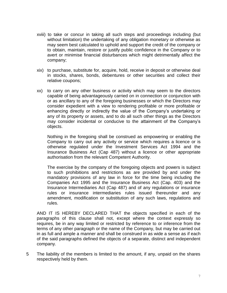- xviii) to take or concur in taking all such steps and proceedings including (but without limitation) the undertaking of any obligation monetary or otherwise as may seem best calculated to uphold and support the credit of the company or to obtain, maintain, restore or justify public confidence in the Company or to avert or minimise financial disturbances which might detrimentally affect the company;
- xix) to purchase, substitute for, acquire, hold, receive in deposit or otherwise deal in stocks, shares, bonds, debentures or other securities and collect their relative coupons;
- xx) to carry on any other business or activity which may seem to the directors capable of being advantageously carried on in connection or conjunction with or as ancillary to any of the foregoing businesses or which the Directors may consider expedient with a view to rendering profitable or more profitable or enhancing directly or indirectly the value of the Company's undertaking or any of its property or assets, and to do all such other things as the Directors may consider incidental or conducive to the attainment of the Company's objects.

Nothing in the foregoing shall be construed as empowering or enabling the Company to carry out any activity or service which requires a licence or is otherwise regulated under the Investment Services Act 1994 and the Insurance Business Act (Cap 487) without a licence or other appropriate authorisation from the relevant Competent Authority.

The exercise by the company of the foregoing objects and powers is subject to such prohibitions and restrictions as are provided by and under the mandatory provisions of any law in force for the time being including the Companies Act 1995 and the Insurance Business Act (Cap. 403) and the Insurance Intermediaries Act (Cap 487) and of any regulations or insurance rules or insurance intermediaries rules issued thereunder and any amendment, modification or substitution of any such laws, regulations and rules.

AND IT IS HEREBY DECLARED THAT the objects specified in each of the paragraphs of this clause shall not, except where the context expressly so requires, be in any way limited or restricted by reference to or inference from the terms of any other paragraph or the name of the Company, but may be carried out in as full and ample a manner and shall be construed in as wide a sense as if each of the said paragraphs defined the objects of a separate, distinct and independent company.

5 The liability of the members is limited to the amount, if any, unpaid on the shares respectively held by them.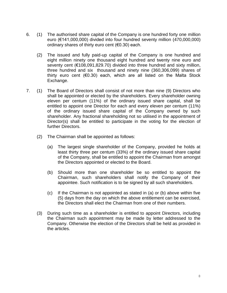- 6. (1) The authorised share capital of the Company is one hundred forty one million euro (€141,000,000) divided into four hundred seventy million (470,000,000) ordinary shares of thirty euro cent (€0.30) each.
	- (2) The issued and fully paid-up capital of the Company is one hundred and eight million ninety one thousand eight hundred and twenty nine euro and seventy cent (€108,091,829.70) divided into three hundred and sixty million, three hundred and six thousand and ninety nine (360,306,099) shares of thirty euro cent (€0.30) each, which are all listed on the Malta Stock Exchange.
- 7. (1) The Board of Directors shall consist of not more than nine (9) Directors who shall be appointed or elected by the shareholders. Every shareholder owning eleven per centum (11%) of the ordinary issued share capital, shall be entitled to appoint one Director for each and every eleven per centum (11%) of the ordinary issued share capital of the Company owned by such shareholder. Any fractional shareholding not so utilised in the appointment of Director(s) shall be entitled to participate in the voting for the election of further Directors.
	- (2) The Chairman shall be appointed as follows:
		- (a) The largest single shareholder of the Company, provided he holds at least thirty three per centum (33%) of the ordinary issued share capital of the Company, shall be entitled to appoint the Chairman from amongst the Directors appointed or elected to the Board.
		- (b) Should more than one shareholder be so entitled to appoint the Chairman, such shareholders shall notify the Company of their appointee. Such notification is to be signed by all such shareholders.
		- (c) If the Chairman is not appointed as stated in (a) or (b) above within five (5) days from the day on which the above entitlement can be exercised, the Directors shall elect the Chairman from one of their numbers.
	- (3) During such time as a shareholder is entitled to appoint Directors, including the Chairman such appointment may be made by letter addressed to the Company. Otherwise the election of the Directors shall be held as provided in the articles.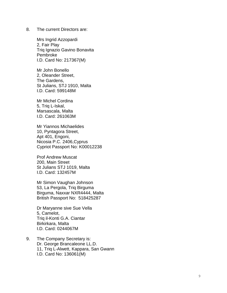8. The current Directors are:

Mr s Ingrid Azzopardi 2, Fair Play Triq Ignazio Gavino Bonavita Pembroke I.D. Card No: 217367(M)

Mr John Bonello 2, Oleander Street , The Gardens, St Julians, STJ 1910, Malta I.D. Card: 599148M

Mr Michel Cordina 5, Triq L -Iskal, Marsascala, Malta I.D. Card: 261063M

Mr Yiannos Michaelides 10, Pyntagora Street, Apt 401, Engoni, Nicosia P.C. 2406 ,Cyprus Cypriot Passport No: K00012238

Prof Andrew Muscat 200, Main Street St Julians STJ 1019, Malta I.D. Card: 132457M

Mr Simon Vaughan Johnson 53, La Pergola, Triq Birguma Birguma, Naxxar NXR4444, Malta British Passport No: 518425287

Dr Maryanne sive Sue Vella 5, Camelot, Triq il -Konti G.A. Ciantar Birkirkara, Malta I.D. Card: 0244067M

9. The Company Secretary is: Dr. George Brancaleone LL.D. 11, Triq L -Alwett, Kappara, San Gwann I.D. Card No: 136061(M)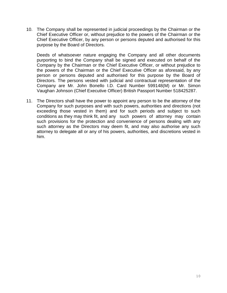10. The Company shall be represented in judicial proceedings by the Chairman or the Chief Executive Officer or, without prejudice to the powers of the Chairman or the Chief Executive Officer, by any person or persons deputed and authorised for this purpose by the Board of Directors.

Deeds of whatsoever nature engaging the Company and all other documents purporting to bind the Company shall be signed and executed on behalf of the Company by the Chairman or the Chief Executive Officer, or without prejudice to the powers of the Chairman or the Chief Executive Officer as aforesaid, by any person or persons deputed and authorised for this purpose by the Board of Directors. The persons vested with judicial and contractual representation of the Company are Mr. John Bonello I.D. Card Number 599148(M) or Mr. Simon Vaughan Johnson (Chief Executive Officer) British Passport Number 518425287.

11. The Directors shall have the power to appoint any person to be the attorney of the Company for such purposes and with such powers, authorities and directions (not exceeding those vested in them) and for such periods and subject to such conditions as they may think fit, and any such powers of attorney may contain such provisions for the protection and convenience of persons dealing with any such attorney as the Directors may deem fit, and may also authorise any such attorney to delegate all or any of his powers, authorities, and discretions vested in him.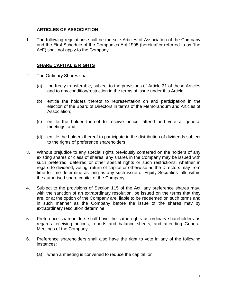#### **ARTICLES OF ASSOCIATION**

1. The following regulations shall be the sole Articles of Association of the Company and the First Schedule of the Companies Act 1995 (hereinafter referred to as "the Act") shall not apply to the Company.

#### **SHARE CAPITAL & RIGHTS**

- 2. The Ordinary Shares shall:
	- (a) be freely transferable, subject to the provisions of Article 31 of these Articles and to any condition/restriction in the terms of issue under this Article;
	- (b) entitle the holders thereof to representation on and participation in the election of the Board of Directors in terms of the Memorandum and Articles of Association;
	- (c) entitle the holder thereof to receive notice, attend and vote at general meetings; and
	- (d) entitle the holders thereof to participate in the distribution of dividends subject to the rights of preference shareholders.
- 3. Without prejudice to any special rights previously conferred on the holders of any existing shares or class of shares, any shares in the Company may be issued with such preferred, deferred or other special rights or such restrictions, whether in regard to dividend, voting, return of capital or otherwise as the Directors may from time to time determine as long as any such issue of Equity Securities falls within the authorised share capital of the Company.
- 4. Subject to the provisions of Section 115 of the Act, any preference shares may, with the sanction of an extraordinary resolution, be issued on the terms that they are, or at the option of the Company are, liable to be redeemed on such terms and in such manner as the Company before the issue of the shares may by extraordinary resolution determine.
- 5. Preference shareholders shall have the same rights as ordinary shareholders as regards receiving notices, reports and balance sheets, and attending General Meetings of the Company.
- 6. Preference shareholders shall also have the right to vote in any of the following instances:
	- (a) when a meeting is convened to reduce the capital, or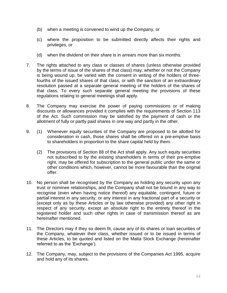- (b) when a meeting is convened to wind up the Company, or
- (c) where the proposition to be submitted directly affects their rights and privileges, or
- (d) when the dividend on their share is in arrears more than six months.
- 7. The rights attached to any class or classes of shares (unless otherwise provided by the terms of issue of the shares of that class) may, whether or not the Company is being wound up, be varied with the consent in writing of the holders of threefourths of the issued shares of that class, or with the sanction of an extraordinary resolution passed at a separate general meeting of the holders of the shares of that class. To every such separate general meeting the provisions of these regulations relating to general meetings shall apply.
- 8. The Company may exercise the power of paying commissions or of making discounts or allowances provided it complies with the requirements of Section 113 of the Act. Such commission may be satisfied by the payment of cash or the allotment of fully or partly paid shares in one way and partly in the other.
- 9. (1) Whenever equity securities of the Company are proposed to be allotted for consideration in cash, those shares shall be offered on a pre-emptive basis to shareholders in proportion to the share capital held by them.
	- (2) The provisions of Section 88 of the Act shall apply. Any such equity securities not subscribed to by the existing shareholders in terms of their pre-emptive right, may be offered for subscription to the general public under the same or other conditions which, however, cannot be more favourable than the original offer.
- 10. No person shall be recognised by the Company as holding any security upon any trust or nominee relationships, and the Company shall not be bound in any way to recognise (even when having notice thereof) any equitable, contingent, future or partial interest in any security, or any interest in any fractional part of a security or (except only as by these Articles or by law otherwise provided) any other right in respect of any security, except an absolute right to the entirety thereof in the registered holder and such other rights in case of transmission thereof as are hereinafter mentioned.
- 11. The Directors may if they so deem fit, cause any of its shares or loan securities of the Company, whatever their class, whether issued or to be issued in terms of these Articles, to be quoted and listed on the Malta Stock Exchange (hereinafter referred to as the 'Exchange').
- 12. The Company, may, subject to the provisions of the Companies Act 1995, acquire and hold any of its shares.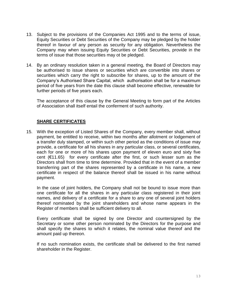- 13. Subject to the provisions of the Companies Act 1995 and to the terms of issue, Equity Securities or Debt Securities of the Company may be pledged by the holder thereof in favour of any person as security for any obligation. Nevertheless the Company may when issuing Equity Securities or Debt Securities, provide in the terms of issue that those securities may ot be pledged.
- 14. By an ordinary resolution taken in a general meeting, the Board of Directors may be authorised to issue shares or securities which are convertible into shares or securities which carry the right to subscribe for shares, up to the amount of the Company's Authorised Share Capital, which authorisation shall be for a maximum period of five years from the date this clause shall become effective, renewable for further periods of five years each.

The acceptance of this clause by the General Meeting to form part of the Articles of Association shall itself entail the conferment of such authority.

#### **SHARE CERTIFICATES**

15. With the exception of Listed Shares of the Company, every member shall, without payment, be entitled to receive, within two months after allotment or lodgement of a transfer duly stamped, or within such other period as the conditions of issue may provide, a certificate for all his shares in any particular class, or several certificates, each for one or more of his shares upon payment of eleven euro and sixty five cent (€11.65) for every certificate after the first, or such lesser sum as the Directors shall from time to time determine. Provided that in the event of a member transferring part of the shares represented by a certificate in his name, a new certificate in respect of the balance thereof shall be issued in his name without payment.

In the case of joint holders, the Company shall not be bound to issue more than one certificate for all the shares in any particular class registered in their joint names, and delivery of a certificate for a share to any one of several joint holders thereof nominated by the joint shareholders and whose name appears in the Register of members shall be sufficient delivery to all.

Every certificate shall be signed by one Director and countersigned by the Secretary or some other person nominated by the Directors for the purpose and shall specify the shares to which it relates, the nominal value thereof and the amount paid up thereon.

If no such nomination exists, the certificate shall be delivered to the first named shareholder in the Register.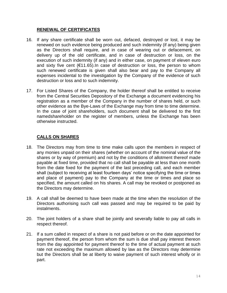### **RENEWAL OF CERTIFICATES**

- 16. If any share certificate shall be worn out, defaced, destroyed or lost, it may be renewed on such evidence being produced and such indemnity (if any) being given as the Directors shall require, and in case of wearing out or defacement, on delivery up of the old certificate, and in case of destruction or loss, on the execution of such indemnity (if any) and in either case, on payment of eleven euro and sixty five cent (€11.65).In case of destruction or loss, the person to whom such renewed certificate is given shall also bear and pay to the Company all expenses incidental to the investigation by the Company of the evidence of such destruction or loss and to such indemnity.
- 17. For Listed Shares of the Company, the holder thereof shall be entitled to receive from the Central Securities Depository of the Exchange a document evidencing his registration as a member of the Company in the number of shares held, or such other evidence as the Bye-Laws of the Exchange may from time to time determine. In the case of joint shareholders, such document shall be delivered to the first namedshareholder on the register of members, unless the Exchange has been otherwise instructed.

## **CALLS ON SHARES**

- 18. The Directors may from time to time make calls upon the members in respect of any monies unpaid on their shares (whether on account of the nominal value of the shares or by way of premium) and not by the conditions of allotment thereof made payable at fixed time, provided that no call shall be payable at less than one month from the date fixed for the payment of the last preceding call, and each member shall (subject to receiving at least fourteen days' notice specifying the time or times and place of payment) pay to the Company at the time or times and place so specified, the amount called on his shares. A call may be revoked or postponed as the Directors may determine.
- 19. A call shall be deemed to have been made at the time when the resolution of the Directors authorising such call was passed and may be required to be paid by instalments.
- 20. The joint holders of a share shall be jointly and severally liable to pay all calls in respect thereof.
- 21. If a sum called in respect of a share is not paid before or on the date appointed for payment thereof, the person from whom the sum is due shall pay interest thereon from the day appointed for payment thereof to the time of actual payment at such rate not exceeding the maximum allowed by law as the Directors may determine but the Directors shall be at liberty to waive payment of such interest wholly or in part.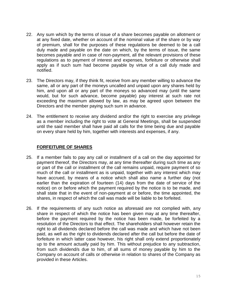- 22. Any sum which by the terms of issue of a share becomes payable on allotment or at any fixed date, whether on account of the nominal value of the share or by way of premium, shall for the purposes of these regulations be deemed to be a call duly made and payable on the date on which, by the terms of issue, the same becomes payable and in case of non-payment, all the relevant provisions of these regulations as to payment of interest and expenses, forfeiture or otherwise shall apply as if such sum had become payable by virtue of a call duly made and notified.
- 23. The Directors may, if they think fit, receive from any member willing to advance the same, all or any part of the moneys uncalled and unpaid upon any shares held by him, and upon all or any part of the moneys so advanced may (until the same would, but for such advance, become payable) pay interest at such rate not exceeding the maximum allowed by law, as may be agreed upon between the Directors and the member paying such sum in advance.
- 24. The entitlement to receive any dividend and/or the right to exercise any privilege as a member including the right to vote at General Meetings, shall be suspended until the said member shall have paid all calls for the time being due and payable on every share held by him, together with interests and expenses, if any.

#### **FORFEITURE OF SHARES**

- 25. If a member fails to pay any call or installment of a call on the day appointed for payment thereof, the Directors may, at any time thereafter during such time as any or part of the call or installment of the call remains unpaid, require payment of so much of the call or installment as is unpaid, together with any interest which may have accrued, by means of a notice which shall also name a further day (not earlier than the expiration of fourteen (14) days from the date of service of the notice) on or before which the payment required by the notice is to be made, and shall state that in the event of non-payment at or before, the time appointed, the shares, in respect of which the call was made will be liable to be forfeited.
- 26. If the requirements of any such notice as aforesaid are not complied with, any share in respect of which the notice has been given may at any time thereafter, before the payment required by the notice has been made, be forfeited by a resolution of the Directors to that effect. The shareholders shall however retain the right to all dividends declared before the call was made and which have not been paid, as well as the right to dividends declared after the call but before the date of forfeiture in which latter case however, his right shall only extend proportionately up to the amount actually paid by him. This without prejudice to any subtraction, from such dividend/s due to him, of all sums of money payable by him to the Company on account of calls or otherwise in relation to shares of the Company as provided in these Articles.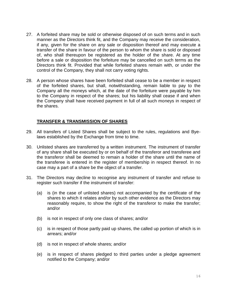- 27. A forfeited share may be sold or otherwise disposed of on such terms and in such manner as the Directors think fit, and the Company may receive the consideration, if any, given for the share on any sale or disposition thereof and may execute a transfer of the share in favour of the person to whom the share is sold or disposed of, who shall thereupon be registered as the holder of the share. At any time before a sale or disposition the forfeiture may be cancelled on such terms as the Directors think fit. Provided that while forfeited shares remain with, or under the control of the Company, they shall not carry voting rights.
- 28. A person whose shares have been forfeited shall cease to be a member in respect of the forfeited shares, but shall, notwithstanding, remain liable to pay to the Company all the moneys which, at the date of the forfeiture were payable by him to the Company in respect of the shares; but his liability shall cease if and when the Company shall have received payment in full of all such moneys in respect of the shares.

#### **TRANSFER & TRANSMISSION OF SHARES**

- 29. All transfers of Listed Shares shall be subject to the rules, regulations and Byelaws established by the Exchange from time to time.
- 30. Unlisted shares are transferred by a written instrument. The instrument of transfer of any share shall be executed by or on behalf of the transferor and transferee and the transferor shall be deemed to remain a holder of the share until the name of the transferee is entered in the register of membership in respect thereof. In no case may a part of a share be the object of a transfer.
- 31. The Directors may decline to recognise any instrument of transfer and refuse to register such transfer if the instrument of transfer:
	- (a) is (in the case of unlisted shares) not accompanied by the certificate of the shares to which it relates and/or by such other evidence as the Directors may reasonably require, to show the right of the transferor to make the transfer; and/or
	- (b) is not in respect of only one class of shares; and/or
	- (c) is in respect of those partly paid up shares, the called up portion of which is in arrears; and/or
	- (d) is not in respect of whole shares; and/or
	- (e) is in respect of shares pledged to third parties under a pledge agreement notified to the Company; and/or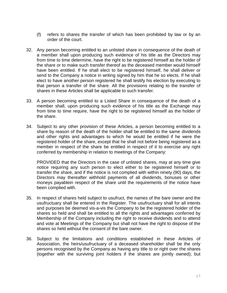- (f) refers to shares the transfer of which has been prohibited by law or by an order of the court.
- 32. Any person becoming entitled to an unlisted share in consequence of the death of a member shall upon producing such evidence of his title as the Directors may from time to time determine, have the right to be registered himself as the holder of the share or to make such transfer thereof as the deceased member would himself have been entitled. If he shall elect to be registered himself, he shall deliver or send to the Company a notice in writing signed by him that he so elects. If he shall elect to have another person registered he shall testify his election by executing to that person a transfer of the share. All the provisions relating to the transfer of shares in these Articles shall be applicable to such transfer.
- 33. A person becoming entitled to a Listed Share in consequence of the death of a member shall, upon producing such evidence of his title as the Exchange may from time to time require, have the right to be registered himself as the holder of the share.
- 34. Subject to any other provision of these Articles, a person becoming entitled to a share by reason of the death of the holder shall be entitled to the same dividends and other rights and advantages to which he would be entitled if he were the registered holder of the share, except that he shall not before being registered as a member in respect of the share be entitled in respect of it to exercise any right conferred by membership in relation to meetings of the Company:

PROVIDED that the Directors in the case of unlisted shares, may at any time give notice requiring any such person to elect either to be registered himself or to transfer the share, and if the notice is not complied with within ninety (90) days, the Directors may thereafter withhold payments of all dividends, bonuses or other moneys payablein respect of the share until the requirements of the notice have been complied with.

- 35. In respect of shares held subject to usufruct, the names of the bare owner and the usufructuary shall be entered in the Register. The usufructuary shall for all intents and purposes be deemed vis-a-vis the Company to be the registered holder of the shares so held and shall be entitled to all the rights and advantages conferred by Membership of the Company including the right to receive dividends and to attend and vote at Meetings of the Company but shall not have the right to dispose of the shares so held without the consent of the bare owner.
- 36. Subject to the limitations and conditions established in these Articles of Association, the heirs/usufructuary of a deceased shareholder shall be the only persons recognised by the Company as having any title to or right over the shares (together with the surviving joint holders if the shares are jointly owned); but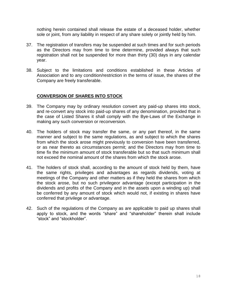nothing herein contained shall release the estate of a deceased holder, whether sole or joint, from any liability in respect of any share solely or jointly held by him.

- 37. The registration of transfers may be suspended at such times and for such periods as the Directors may from time to time determine, provided always that such registration shall not be suspended for more than thirty (30) days in any calendar year.
- 38. Subject to the limitations and conditions established in these Articles of Association and to any condition/restriction in the terms of issue, the shares of the Company are freely transferable.

## **CONVERSION OF SHARES INTO STOCK**

- 39. The Company may by ordinary resolution convert any paid-up shares into stock, and re-convert any stock into paid-up shares of any denomination, provided that in the case of Listed Shares it shall comply with the Bye-Laws of the Exchange in making any such conversion or reconversion.
- 40. The holders of stock may transfer the same, or any part thereof, in the same manner and subject to the same regulations, as and subject to which the shares from which the stock arose might previously to conversion have been transferred, or as near thereto as circumstances permit; and the Directors may from time to time fix the minimum amount of stock transferable but so that such minimum shall not exceed the nominal amount of the shares from which the stock arose.
- 41. The holders of stock shall, according to the amount of stock held by them, have the same rights, privileges and advantages as regards dividends, voting at meetings of the Company and other matters as if they held the shares from which the stock arose, but no such privilegeor advantage (except participation in the dividends and profits of the Company and in the assets upon a winding up) shall be conferred by any amount of stock which would not, if existing in shares have conferred that privilege or advantage.
- 42. Such of the regulations of the Company as are applicable to paid up shares shall apply to stock, and the words "share" and "shareholder" therein shall include "stock" and "stockholder".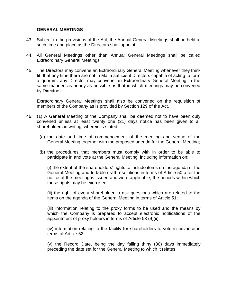#### **GENERAL MEETINGS**

- 43. Subject to the provisions of the Act, the Annual General Meetings shall be held at such time and place as the Directors shall appoint.
- 44. All General Meetings other than Annual General Meetings shall be called Extraordinary General Meetings.
- 45. The Directors may convene an Extraordinary General Meeting whenever they think fit. If at any time there are not in Malta sufficient Directors capable of acting to form a quorum, any Director may convene an Extraordinary General Meeting in the same manner, as nearly as possible as that in which meetings may be convened by Directors.

Extraordinary General Meetings shall also be convened on the requisition of members of the Company as is provided by Section 129 of the Act.

- 46. (1) A General Meeting of the Company shall be deemed not to have been duly convened unless at least twenty one (21) days notice has been given to all shareholders in writing, wherein is stated:
	- (a) the date and time of commencement of the meeting and venue of the General Meeting together with the proposed agenda for the General Meeting;
	- (b) the procedures that members must comply with in order to be able to participate in and vote at the General Meeting, including information on:

(i) the extent of the shareholders' rights to include items on the agenda of the General Meeting and to table draft resolutions in terms of Article 50 after the notice of the meeting is issued and were applicable, the periods within which these rights may be exercised;

(ii) the right of every shareholder to ask questions which are related to the items on the agenda of the General Meeting in terms of Article 51;

(iii) information relating to the proxy forms to be used and the means by which the Company is prepared to accept electronic notifications of the appointment of proxy holders in terms of Article 53 (9)(ii);

(iv) information relating to the facility for shareholders to vote in advance in terms of Article 52;

(v) the Record Date, being the day falling thirty (30) days immediately preceding the date set for the General Meeting to which it relates.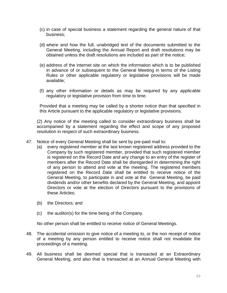- (c) in case of special business a statement regarding the general nature of that business;
- (d) where and how the full, unabridged text of the documents submitted to the General Meeting, including the Annual Report and draft resolutions may be obtained unless the draft resolutions are included as part of the notice;
- (e) address of the internet site on which the information which is to be published in advance of or subsequent to the General Meeting in terms of the Listing Rules or other applicable regulatory or legislative provisions will be made available;
- (f) any other information or details as may be required by any applicable regulatory or legislative provision from time to time.

Provided that a meeting may be called by a shorter notice than that specified in this Article pursuant to the applicable regulatory or legislative provisions.

(2) Any notice of the meeting called to consider extraordinary business shall be accompanied by a statement regarding the effect and scope of any proposed resolution in respect of such extraordinary business.

- 47. Notice of every General Meeting shall be sent by pre-paid mail to:
	- (a) every registered member at the last known registered address provided to the Company by such registered member, provided that such registered member is registered on the Record Date and any change to an entry of the register of members after the Record Date shall be disregarded in determining the right of any person to attend and vote at the meeting. The registered members registered on the Record Date shall be entitled to receive notice of the General Meeting, to participate in and vote at the General Meeting, be paid dividends and/or other benefits declared by the General Meeting, and appoint Directors or vote at the election of Directors pursuant to the provisions of these Articles;
	- (b) the Directors; and
	- (c) the auditor(s) for the time being of the Company.

No other person shall be entitled to receive notice of General Meetings.

- 48. The accidental omission to give notice of a meeting to, or the non receipt of notice of a meeting by any person entitled to receive notice shall not invalidate the proceedings of a meeting.
- 49. All business shall be deemed special that is transacted at an Extraordinary General Meeting, and also that is transacted at an Annual General Meeting with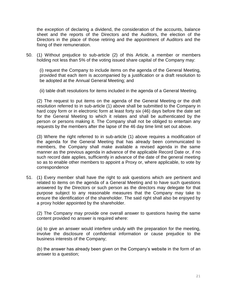the exception of declaring a dividend, the consideration of the accounts, balance sheet and the reports of the Directors and the Auditors, the election of the Directors in the place of those retiring and the appointment of Auditors and the fixing of their remuneration.

50. (1) Without prejudice to sub-article (2) of this Article, a member or members holding not less than 5% of the voting issued share capital of the Company may:

(i) request the Company to include items on the agenda of the General Meeting, provided that each item is accompanied by a justification or a draft resolution to be adopted at the Annual General Meeting; and

(ii) table draft resolutions for items included in the agenda of a General Meeting.

(2) The request to put items on the agenda of the General Meeting or the draft resolution referred to in sub-article (1) above shall be submitted to the Company in hard copy form or in electronic form at least forty six (46) days before the date set for the General Meeting to which it relates and shall be authenticated by the person or persons making it. The Company shall not be obliged to entertain any requests by the members after the lapse of the 46 day time limit set out above.

(3) Where the right referred to in sub-article (1) above requires a modification of the agenda for the General Meeting that has already been communicated to members, the Company shall make available a revised agenda in the same manner as the previous agenda in advance of the applicable Record Date or, if no such record date applies, sufficiently in advance of the date of the general meeting so as to enable other members to appoint a Proxy or, where applicable, to vote by correspondence

51. (1) Every member shall have the right to ask questions which are pertinent and related to items on the agenda of a General Meeting and to have such questions answered by the Directors or such person as the directors may delegate for that purpose subject to any reasonable measures that the Company may take to ensure the identification of the shareholder. The said right shall also be enjoyed by a proxy holder appointed by the shareholder.

(2) The Company may provide one overall answer to questions having the same content provided no answer is required where:

(a) to give an answer would interfere unduly with the preparation for the meeting, involve the disclosure of confidential information or cause prejudice to the business interests of the Company;

(b) the answer has already been given on the Company's website in the form of an answer to a question;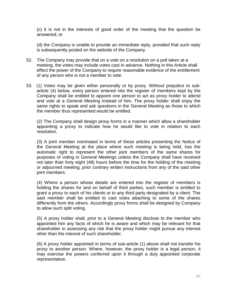(c) it is not in the interests of good order of the meeting that the question be answered; or

(d) the Company is unable to provide an immediate reply, provided that such reply is subsequently posted on the website of the Company.

- 52. The Company may provide that on a vote on a resolution on a poll taken at a meeting, the votes may include votes cast in advance. Nothing in this Article shall effect the power of the Company to require reasonable evidence of the entitlement of any person who is not a member to vote.
- 53. (1) Votes may be given either personally or by proxy. Without prejudice to subarticle (4) below, every person entered into the register of members kept by the Company shall be entitled to appoint one person to act as proxy holder to attend and vote at a General Meeting instead of him. The proxy holder shall enjoy the same rights to speak and ask questions in the General Meeting as those to which the member thus represented would be entitled.

(2) The Company shall design proxy forms in a manner which allow a shareholder appointing a proxy to indicate how he would like to vote in relation to each resolution.

(3) A joint member nominated in terms of these articles presenting the Notice of the General Meeting at the place where such meeting is being held, has the automatic right to represent the other joint members of the same shares for purposes of voting in General Meetings unless the Company shall have received not later than forty eight (48) hours before the time for the holding of the meeting or adjourned meeting, prior contrary written instructions from any of the said other joint members.

(4) Where a person whose details are entered into the register of members is holding the shares for and on behalf of third parties, such member is entitled to grant a proxy to each of his clients or to any third party designated by a client. The said member shall be entitled to cast votes attaching to some of the shares differently from the others. Accordingly proxy forms shall be designed by Company to allow such split voting.

(5) A proxy holder shall, prior to a General Meeting disclose to the member who appointed him any facts of which he is aware and which may be relevant for that shareholder in assessing any risk that the proxy holder might pursue any interest other than the interest of such shareholder.

(6) A proxy holder appointed in terms of sub-article (1) above shall not transfer his proxy to another person. Where, however, the proxy holder is a legal person, it may exercise the powers conferred upon it through a duly appointed corporate representative.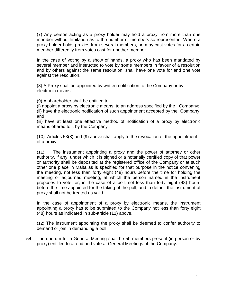(7) Any person acting as a proxy holder may hold a proxy from more than one member without limitation as to the number of members so represented. Where a proxy holder holds proxies from several members, he may cast votes for a certain member differently from votes cast for another member.

In the case of voting by a show of hands, a proxy who has been mandated by several member and instructed to vote by some members in favour of a resolution and by others against the same resolution, shall have one vote for and one vote against the resolution.

(8) A Proxy shall be appointed by written notification to the Company or by electronic means.

(9) A shareholder shall be entitled to:

(i) appoint a proxy by electronic means, to an address specified by the Company; (ii) have the electronic notification of such appointment accepted by the Company; and

(iii) have at least one effective method of notification of a proxy by electronic means offered to it by the Company.

(10) Articles 53(8) and (9) above shall apply to the revocation of the appointment of a proxy.

(11) The instrument appointing a proxy and the power of attorney or other authority, if any, under which it is signed or a notarially certified copy of that power or authority shall be deposited at the registered office of the Company or at such other one place in Malta as is specified for that purpose in the notice convening the meeting, not less than forty eight (48) hours before the time for holding the meeting or adjourned meeting, at which the person named in the instrument proposes to vote, or, in the case of a poll, not less than forty eight (48) hours before the time appointed for the taking of the poll, and in default the instrument of proxy shall not be treated as valid.

In the case of appointment of a proxy by electronic means, the instrument appointing a proxy has to be submitted to the Company not less than forty eight (48) hours as indicated in sub-article (11) above.

(12) The instrument appointing the proxy shall be deemed to confer authority to demand or join in demanding a poll.

54. The quorum for a General Meeting shall be 50 members present (in person or by proxy) entitled to attend and vote at General Meetings of the Company.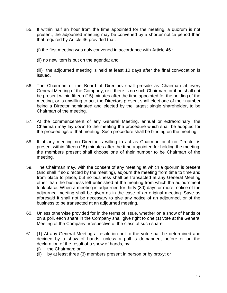55. If within half an hour from the time appointed for the meeting, a quorum is not present, the adjourned meeting may be convened by a shorter notice period than that required by Article 46 provided that:

(i) the first meeting was duly convened in accordance with Article 46 ;

(ii) no new item is put on the agenda; and

(iii) the adjourned meeting is held at least 10 days after the final convocation is issued.

- 56. The Chairman of the Board of Directors shall preside as Chairman at every General Meeting of the Company, or if there is no such Chairman, or if he shall not be present within fifteen (15) minutes after the time appointed for the holding of the meeting, or is unwilling to act, the Directors present shall elect one of their number being a Director nominated and elected by the largest single shareholder, to be Chairman of the meeting.
- 57. At the commencement of any General Meeting, annual or extraordinary, the Chairman may lay down to the meeting the procedure which shall be adopted for the proceedings of that meeting. Such procedure shall be binding on the meeting.
- 58. If at any meeting no Director is willing to act as Chairman or if no Director is present within fifteen (15) minutes after the time appointed for holding the meeting, the members present shall choose one of their number to be Chairman of the meeting.
- 59. The Chairman may, with the consent of any meeting at which a quorum is present (and shall if so directed by the meeting), adjourn the meeting from time to time and from place to place, but no business shall be transacted at any General Meeting other than the business left unfinished at the meeting from which the adjournment took place. When a meeting is adjourned for thirty (30) days or more, notice of the adjourned meeting shall be given as in the case of an original meeting. Save as aforesaid it shall not be necessary to give any notice of an adjourned, or of the business to be transacted at an adjourned meeting.
- 60. Unless otherwise provided for in the terms of issue, whether on a show of hands or on a poll, each share in the Company shall give right to one (1) vote at the General Meeting of the Company, irrespective of the class of such share.
- 61. (1) At any General Meeting a resolution put to the vote shall be determined and decided by a show of hands, unless a poll is demanded, before or on the declaration of the result of a show of hands, by:
	- (i) the Chairman; or
	- (ii) by at least three (3) members present in person or by proxy; or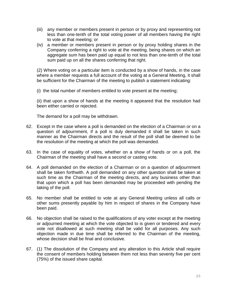- (iii) any member or members present in person or by proxy and representing not less than one-tenth of the total voting power of all members having the right to vote at that meeting; or
- (iv) a member or members present in person or by proxy holding shares in the Company conferring a right to vote at the meeting, being shares on which an aggregate sum has been paid up equal to not less than one-tenth of the total sum paid up on all the shares conferring that right.

(2) Where voting on a particular item is conducted by a show of hands, in the case where a member requests a full account of the voting at a General Meeting, it shall be sufficient for the Chairman of the meeting to publish a statement indicating:

(i) the total number of members entitled to vote present at the meeting;

(ii) that upon a show of hands at the meeting it appeared that the resolution had been either carried or rejected.

The demand for a poll may be withdrawn.

- 62. Except in the case where a poll is demanded on the election of a Chairman or on a question of adjournment, if a poll is duly demanded it shall be taken in such manner as the Chairman directs and the result of the poll shall be deemed to be the resolution of the meeting at which the poll was demanded.
- 63. In the case of equality of votes, whether on a show of hands or on a poll, the Chairman of the meeting shall have a second or casting vote.
- 64. A poll demanded on the election of a Chairman or on a question of adjournment shall be taken forthwith. A poll demanded on any other question shall be taken at such time as the Chairman of the meeting directs, and any business other than that upon which a poll has been demanded may be proceeded with pending the taking of the poll.
- 65. No member shall be entitled to vote at any General Meeting unless all calls or other sums presently payable by him in respect of shares in the Company have been paid.
- 66. No objection shall be raised to the qualifications of any voter except at the meeting or adjourned meeting at which the vote objected to is given or tendered and every vote not disallowed at such meeting shall be valid for all purposes. Any such objection made in due time shall be referred to the Chairman of the meeting, whose decision shall be final and conclusive.
- 67. (1) The dissolution of the Company and any alteration to this Article shall require the consent of members holding between them not less than seventy five per cent (75%) of the issued share capital.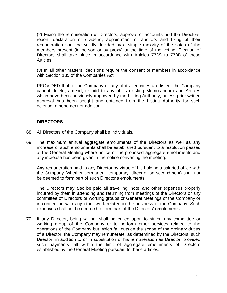(2) Fixing the remuneration of Directors, approval of accounts and the Directors' report, declaration of dividend, appointment of auditors and fixing of their remuneration shall be validly decided by a simple majority of the votes of the members present (in person or by proxy) at the time of the voting. Election of Directors shall take place in accordance with Articles  $77(2)$  to  $77(4)$  of these Articles.

(3) In all other matters, decisions require the consent of members in accordance with Section 135 of the Companies Act:

PROVIDED that, if the Company or any of its securities are listed, the Company cannot delete, amend, or add to any of its existing Memorandum and Articles which have been previously approved by the Listing Authority, unless prior written approval has been sought and obtained from the Listing Authority for such deletion, amendment or addition.

#### **DIRECTORS**

- 68. All Directors of the Company shall be individuals.
- 69. The maximum annual aggregate emoluments of the Directors as well as any increase of such emoluments shall be established pursuant to a resolution passed at the General Meeting where notice of the proposed aggregate emoluments and any increase has been given in the notice convening the meeting.

Any remuneration paid to any Director by virtue of his holding a salaried office with the Company (whether permanent, temporary, direct or on secondment) shall not be deemed to form part of such Director's emoluments.

The Directors may also be paid all travelling, hotel and other expenses properly incurred by them in attending and returning from meetings of the Directors or any committee of Directors or working groups or General Meetings of the Company or in connection with any other work related to the business of the Company. Such expenses shall not be deemed to form part of the Directors' emoluments.

70. If any Director, being willing, shall be called upon to sit on any committee or working group of the Company or to perform other services related to the operations of the Company but which fall outside the scope of the ordinary duties of a Director, the Company may remunerate, as determined by the Directors, such Director, in addition to or in substitution of his remuneration as Director, provided such payments fall within the limit of aggregate emoluments of Directors established by the General Meeting pursuant to these articles.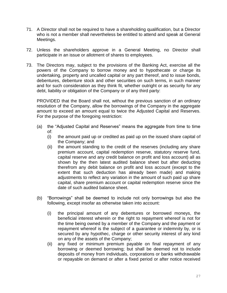- 71. A Director shall not be required to have a shareholding qualification, but a Director who is not a member shall nevertheless be entitled to attend and speak at General Meetings.
- 72. Unless the shareholders approve in a General Meeting, no Director shall participate in an issue or allotment of shares to employees.
- 73. The Directors may, subject to the provisions of the Banking Act, exercise all the powers of the Company to borrow money and to hypothecate or charge its undertaking, property and uncalled capital or any part thereof, and to issue bonds, debentures, debenture stock and other securities on such terms, in such manner and for such consideration as they think fit, whether outright or as security for any debt, liability or obligation of the Company or of any third party:

PROVIDED that the Board shall not, without the previous sanction of an ordinary resolution of the Company, allow the borrowings of the Company in the aggregate amount to exceed an amount equal to twice the Adjusted Capital and Reserves. For the purpose of the foregoing restriction:

- (a) the "Adjusted Capital and Reserves" means the aggregate from time to time of:
	- (i) the amount paid up or credited as paid up on the issued share capital of the Company; and
	- (ii) the amount standing to the credit of the reserves (including any share premium account, capital redemption reserve, statutory reserve fund, capital reserve and any credit balance on profit and loss account) all as shown by the then latest audited balance sheet but after deducting therefrom any debit balance on profit and loss account (except to the extent that such deduction has already been made) and making adjustments to reflect any variation in the amount of such paid up share capital, share premium account or capital redemption reserve since the date of such audited balance sheet.
- (b) "Borrowings" shall be deemed to include not only borrowings but also the following, except insofar as otherwise taken into account:
	- (i) the principal amount of any debentures or borrowed moneys, the beneficial interest wherein or the right to repayment whereof is not for the time being owned by a member of the Company and the payment or repayment whereof is the subject of a guarantee or indemnity by, or is secured by any hypothec, charge or other security interest of any kind on any of the assets of the Company;
	- (ii) any fixed or minimum premium payable on final repayment of any borrowing or deemed borrowing; but shall be deemed not to include deposits of money from individuals, corporations or banks withdrawable or repayable on demand or after a fixed period or after notice received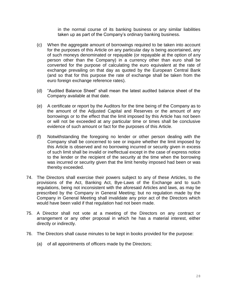in the normal course of its banking business or any similar liabilities taken up as part of the Company's ordinary banking business.

- (c) When the aggregate amount of borrowings required to be taken into account for the purposes of this Article on any particular day is being ascertained, any of such moneys denominated or repayable (or repayable at the option of any person other than the Company) in a currency other than euro shall be converted for the purpose of calculating the euro equivalent at the rate of exchange prevailing on that day as quoted by the European Central Bank (and so that for this purpose the rate of exchange shall be taken from the euro foreign exchange reference rates).
- (d) "Audited Balance Sheet" shall mean the latest audited balance sheet of the Company available at that date.
- (e) A certificate or report by the Auditors for the time being of the Company as to the amount of the Adjusted Capital and Reserves or the amount of any borrowings or to the effect that the limit imposed by this Article has not been or will not be exceeded at any particular time or times shall be conclusive evidence of such amount or fact for the purposes of this Article.
- (f) Notwithstanding the foregoing no lender or other person dealing with the Company shall be concerned to see or inquire whether the limit imposed by this Article is observed and no borrowing incurred or security given in excess of such limit shall be invalid or ineffectual except in the case of express notice to the lender or the recipient of the security at the time when the borrowing was incurred or security given that the limit hereby imposed had been or was thereby exceeded.
- 74. The Directors shall exercise their powers subject to any of these Articles, to the provisions of the Act, Banking Act, Bye-Laws of the Exchange and to such regulations, being not inconsistent with the aforesaid Articles and laws, as may be prescribed by the Company in General Meeting; but no regulation made by the Company in General Meeting shall invalidate any prior act of the Directors which would have been valid if that regulation had not been made.
- 75. A Director shall not vote at a meeting of the Directors on any contract or arrangement or any other proposal in which he has a material interest, either directly or indirectly.
- 76. The Directors shall cause minutes to be kept in books provided for the purpose:
	- (a) of all appointments of officers made by the Directors;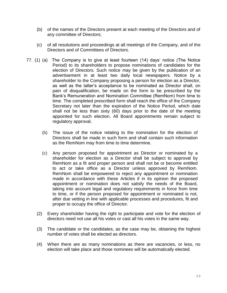- (b) of the names of the Directors present at each meeting of the Directors and of any committee of Directors;
- (c) of all resolutions and proceedings at all meetings of the Company, and of the Directors and of Committees of Directors.
- 77. (1) (a) The Company is to give at least fourteen (14) days' notice (The Notice Period) to its shareholders to propose nominations of candidates for the election of Directors. Such notice may be given by the publication of an advertisement in at least two daily local newspapers. Notice by a shareholder to the Company proposing a person for election as a Director, as well as the latter's acceptance to be nominated as Director shall, on pain of disqualification, be made on the form to be prescribed by the Bank's Remuneration and Nomination Committee (RemNom) from time to time. The completed prescribed form shall reach the office of the Company Secretary not later than the expiration of the Notice Period, which date shall not be less than sixty (60) days prior to the date of the meeting appointed for such election. All Board appointments remain subject to regulatory approval.
	- (b) The issue of the notice relating to the nomination for the election of Directors shall be made in such form and shall contain such information as the RemNom may from time to time determine.
	- (c) Any person proposed for appointment as Director or nominated by a shareholder for election as a Director shall be subject to approval by RemNom as a fit and proper person and shall not be or become entitled to act or take office as a Director unless approved by RemNom. RemNom shall be empowered to reject any appointment or nomination made in accordance with these Articles if in its opinion the proposed appointment or nomination does not satisfy the needs of the Board, taking into account legal and regulatory requirements in force from time to time, or if the person proposed for appointment or nominated is not, after due vetting in line with applicable processes and procedures, fit and proper to occupy the office of Director.
	- (2) Every shareholder having the right to participate and vote for the election of directors need not use all his votes or cast all his votes in the same way.
	- (3) The candidate or the candidates, as the case may be, obtaining the highest number of votes shall be elected as directors.
	- (4) When there are as many nominations as there are vacancies, or less, no election will take place and those nominees will be automatically elected.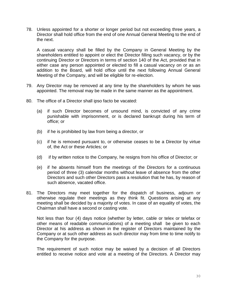78. Unless appointed for a shorter or longer period but not exceeding three years, a Director shall hold office from the end of one Annual General Meeting to the end of the next.

A casual vacancy shall be filled by the Company in General Meeting by the shareholders entitled to appoint or elect the Director filling such vacancy, or by the continuing Director or Directors in terms of section 140 of the Act, provided that in either case any person appointed or elected to fill a casual vacancy on or as an addition to the Board, will hold office until the next following Annual General Meeting of the Company, and will be eligible for re-election.

- 79. Any Director may be removed at any time by the shareholders by whom he was appointed. The removal may be made in the same manner as the appointment.
- 80. The office of a Director shall ipso facto be vacated:
	- (a) if such Director becomes of unsound mind, is convicted of any crime punishable with imprisonment, or is declared bankrupt during his term of office; or
	- (b) if he is prohibited by law from being a director, or
	- (c) if he is removed pursuant to, or otherwise ceases to be a Director by virtue of, the Act or these Articles; or
	- (d) if by written notice to the Company, he resigns from his office of Director; or
	- (e) if he absents himself from the meetings of the Directors for a continuous period of three (3) calendar months without leave of absence from the other Directors and such other Directors pass a resolution that he has, by reason of such absence, vacated office.
- 81. The Directors may meet together for the dispatch of business, adjourn or otherwise regulate their meetings as they think fit. Questions arising at any meeting shall be decided by a majority of votes. In case of an equality of votes, the Chairman shall have a second or casting vote.

Not less than four (4) days notice (whether by letter, cable or telex or telefax or other means of readable communications) of a meeting shall be given to each Director at his address as shown in the register of Directors maintained by the Company or at such other address as such director may from time to time notify to the Company for the purpose.

The requirement of such notice may be waived by a decision of all Directors entitled to receive notice and vote at a meeting of the Directors. A Director may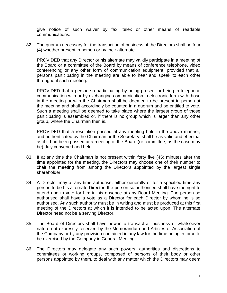give notice of such waiver by fax, telex or other means of readable communications.

82. The quorum necessary for the transaction of business of the Directors shall be four (4) whether present in person or by their alternate.

PROVIDED that any Director or his alternate may validly participate in a meeting of the Board or a committee of the Board by means of conference telephone, video conferencing or any other form of communication equipment, provided that all persons participating in the meeting are able to hear and speak to each other throughout such meeting.

PROVIDED that a person so participating by being present or being in telephone communication with or by exchanging communication in electronic form with those in the meeting or with the Chairman shall be deemed to be present in person at the meeting and shall accordingly be counted in a quorum and be entitled to vote. Such a meeting shall be deemed to take place where the largest group of those participating is assembled or, if there is no group which is larger than any other group, where the Chairman then is.

PROVIDED that a resolution passed at any meeting held in the above manner, and authenticated by the Chairman or the Secretary, shall be as valid and effectual as if it had been passed at a meeting of the Board (or committee, as the case may be) duly convened and held.

- 83. If at any time the Chairman is not present within forty five (45) minutes after the time appointed for the meeting, the Directors may choose one of their number to chair the meeting from among the Directors appointed by the largest single shareholder.
- 84. A Director may at any time authorise, either generally or for a specified time any person to be his alternate Director; the person so authorised shall have the right to attend and to vote for him in his absence at any Board Meeting. The person so authorised shall have a vote as a Director for each Director by whom he is so authorised. Any such authority must be in writing and must be produced at this first meeting of the Directors at which it is intended to be acted upon. The alternate Director need not be a serving Director.
- 85. The Board of Directors shall have power to transact all business of whatsoever nature not expressly reserved by the Memorandum and Articles of Association of the Company or by any provision contained in any law for the time being in force to be exercised by the Company in General Meeting.
- 86. The Directors may delegate any such powers, authorities and discretions to committees or working groups, composed of persons of their body or other persons appointed by them, to deal with any matter which the Directors may deem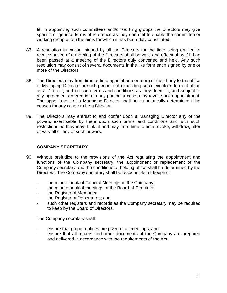fit. In appointing such committees and/or working groups the Directors may give specific or general terms of reference as they deem fit to enable the committee or working group attain the aims for which it has been duly constituted.

- 87. A resolution in writing, signed by all the Directors for the time being entitled to receive notice of a meeting of the Directors shall be valid and effectual as if it had been passed at a meeting of the Directors duly convened and held. Any such resolution may consist of several documents in the like form each signed by one or more of the Directors.
- 88. The Directors may from time to time appoint one or more of their body to the office of Managing Director for such period, not exceeding such Director's term of office as a Director, and on such terms and conditions as they deem fit, and subject to any agreement entered into in any particular case, may revoke such appointment. The appointment of a Managing Director shall be automatically determined if he ceases for any cause to be a Director.
- 89. The Directors may entrust to and confer upon a Managing Director any of the powers exercisable by them upon such terms and conditions and with such restrictions as they may think fit and may from time to time revoke, withdraw, alter or vary all or any of such powers.

### **COMPANY SECRETARY**

- 90. Without prejudice to the provisions of the Act regulating the appointment and functions of the Company secretary, the appointment or replacement of the Company secretary and the conditions of holding office shall be determined by the Directors. The Company secretary shall be responsible for keeping:
	- the minute book of General Meetings of the Company;
	- the minute book of meetings of the Board of Directors;
	- the Register of Members;
	- the Register of Debentures; and
	- such other registers and records as the Company secretary may be required to keep by the Board of Directors.

The Company secretary shall:

- ensure that proper notices are given of all meetings; and
- ensure that all returns and other documents of the Company are prepared and delivered in accordance with the requirements of the Act.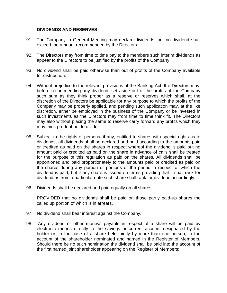#### **DIVIDENDS AND RESERVES**

- 91. The Company in General Meeting may declare dividends, but no dividend shall exceed the amount recommended by the Directors.
- 92. The Directors may from time to time pay to the members such interim dividends as appear to the Directors to be justified by the profits of the Company.
- 93. No dividend shall be paid otherwise than out of profits of the Company available for distribution.
- 94. Without prejudice to the relevant provisions of the Banking Act, the Directors may, before recommending any dividend, set aside out of the profits of the Company such sum as they think proper as a reserve or reserves which shall, at the discretion of the Directors be applicable for any purpose to which the profits of the Company may be properly applied, and pending such application may, at the like discretion, either be employed in the business of the Company or be invested in such investments as the Directors may from time to time think fit. The Directors may also without placing the same to reserve carry forward any profits which they may think prudent not to divide.
- 95. Subject to the rights of persons, if any, entitled to shares with special rights as to dividends, all dividends shall be declared and paid according to the amounts paid or credited as paid on the shares in respect whereof the dividend is paid but no amount paid or credited as paid on the share in advance of calls shall be treated for the purpose of this regulation as paid on the shares. All dividends shall be apportioned and paid proportionately to the amounts paid or credited as paid on the shares during any portion or portions of the period in respect of which the dividend is paid, but if any share is issued on terms providing that it shall rank for dividend as from a particular date such share shall rank for dividend accordingly.
- 96. Dividends shall be declared and paid equally on all shares;

PROVIDED that no dividends shall be paid on those partly paid-up shares the called up portion of which is in arrears.

- 97. No dividend shall bear interest against the Company.
- 98. Any dividend or other moneys payable in respect of a share will be paid by electronic means directly to the savings or current account designated by the holder or, in the case of a share held jointly by more than one person, to the account of the shareholder nominated and named in the Register of Members. Should there be no such nomination the dividend shall be paid into the account of the first named joint shareholder appearing on the Register of Members: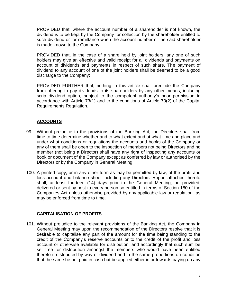PROVIDED that, where the account number of a shareholder is not known, the dividend is to be kept by the Company for collection by the shareholder entitled to such dividend or for remittance when the account number of the said shareholder is made known to the Company;

PROVIDED that, in the case of a share held by joint holders, any one of such holders may give an effective and valid receipt for all dividends and payments on account of dividends and payments in respect of such share. The payment of dividend to any account of one of the joint holders shall be deemed to be a good discharge to the Company;

PROVIDED FURTHER that, nothing in this article shall preclude the Company from offering to pay dividends to its shareholders by any other means, including scrip dividend option, subject to the competent authority's prior permission in accordance with Article 73(1) and to the conditions of Article 73(2) of the Capital Requirements Regulation.

### **ACCOUNTS**

- 99. Without prejudice to the provisions of the Banking Act, the Directors shall from time to time determine whether and to what extent and at what time and place and under what conditions or regulations the accounts and books of the Company or any of them shall be open to the inspection of members not being Directors and no member (not being a Director) shall have any right of inspecting any accounts or book or document of the Company except as conferred by law or authorised by the Directors or by the Company in General Meeting.
- 100. A printed copy, or in any other form as may be permitted by law, of the profit and loss account and balance sheet including any Directors' Report attached thereto shall, at least fourteen (14) days prior to the General Meeting, be provided, delivered or sent by post to every person so entitled in terms of Section 180 of the Companies Act unless otherwise provided by any applicable law or regulation as may be enforced from time to time.

#### **CAPITALISATION OF PROFITS**

101. Without prejudice to the relevant provisions of the Banking Act, the Company in General Meeting may upon the recommendation of the Directors resolve that it is desirable to capitalise any part of the amount for the time being standing to the credit of the Company's reserve accounts or to the credit of the profit and loss account or otherwise available for distribution, and accordingly that such sum be set free for distribution amongst the members who would have been entitled thereto if distributed by way of dividend and in the same proportions on condition that the same be not paid in cash but be applied either in or towards paying up any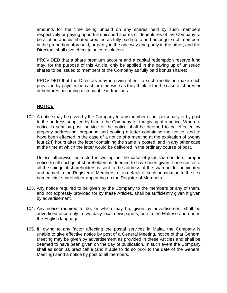amounts for the time being unpaid on any shares held by such members respectively or paying up in full unissued shares or debentures of the Company to be allotted and distributed credited as fully paid up to and amongst such members in the proportion aforesaid, or partly in the one way and partly in the other, and the Directors shall give effect to such resolution:

PROVIDED that a share premium account and a capital redemption reserve fund may, for the purpose of this Article, only be applied in the paying up of unissued shares to be issued to members of the Company as fully paid bonus shares:

PROVIDED that the Directors may in giving effect to such resolution make such provision by payment in cash or otherwise as they think fit for the case of shares or debentures becoming distributable in fractions.

## **NOTICE**

102. A notice may be given by the Company to any member either personally or by post to the address supplied by him to the Company for the giving of a notice. Where a notice is sent by post, service of the notice shall be deemed to be effected by properly addressing, preparing and posting a letter containing the notice, and to have been effected in the case of a notice of a meeting at the expiration of twenty four (24) hours after the letter containing the same is posted, and in any other case at the time at which the letter would be delivered in the ordinary course of post.

Unless otherwise instructed in writing, in the case of joint shareholders, proper notice to all such joint shareholders is deemed to have been given if one notice to all the said joint shareholders is sent to the address of the shareholder nominated and named in the Register of Members, or in default of such nomination to the first named joint shareholder appearing on the Register of Members.

- 103. Any notice required to be given by the Company to the members or any of them, and not expressly provided for by these Articles, shall be sufficiently given if given by advertisement.
- 104. Any notice required to be, or which may be, given by advertisement shall be advertised once only in two daily local newspapers, one in the Maltese and one in the English language.
- 105. If, owing to any factor affecting the postal services in Malta, the Company is unable to give effective notice by post of a General Meeting, notice of that General Meeting may be given by advertisement as provided in these Articles and shall be deemed to have been given on the day of publication. In such event the Company shall as soon as practicable (and if able to do so prior to the date of the General Meeting) send a notice by post to all members.